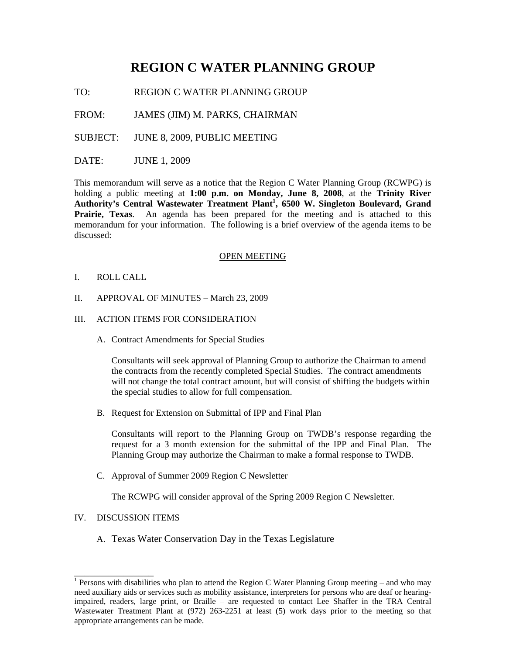# **REGION C WATER PLANNING GROUP**

TO: REGION C WATER PLANNING GROUP

FROM: JAMES (JIM) M. PARKS, CHAIRMAN

SUBJECT: JUNE 8, 2009, PUBLIC MEETING

DATE: JUNE 1, 2009

This memorandum will serve as a notice that the Region C Water Planning Group (RCWPG) is holding a public meeting at **1:00 p.m. on Monday, June 8, 2008**, at the **Trinity River Authority's Central Wastewater Treatment Plant<sup>1</sup> , 6500 W. Singleton Boulevard, Grand Prairie, Texas**. An agenda has been prepared for the meeting and is attached to this memorandum for your information. The following is a brief overview of the agenda items to be discussed:

#### OPEN MEETING

- I. ROLL CALL
- II. APPROVAL OF MINUTES March 23, 2009
- III. ACTION ITEMS FOR CONSIDERATION
	- A. Contract Amendments for Special Studies

Consultants will seek approval of Planning Group to authorize the Chairman to amend the contracts from the recently completed Special Studies. The contract amendments will not change the total contract amount, but will consist of shifting the budgets within the special studies to allow for full compensation.

B. Request for Extension on Submittal of IPP and Final Plan

Consultants will report to the Planning Group on TWDB's response regarding the request for a 3 month extension for the submittal of the IPP and Final Plan. The Planning Group may authorize the Chairman to make a formal response to TWDB.

C. Approval of Summer 2009 Region C Newsletter

The RCWPG will consider approval of the Spring 2009 Region C Newsletter.

#### IV. DISCUSSION ITEMS

\_\_\_\_\_\_\_\_\_\_\_\_\_\_\_\_

A. Texas Water Conservation Day in the Texas Legislature

<sup>&</sup>lt;sup>1</sup> Persons with disabilities who plan to attend the Region C Water Planning Group meeting – and who may need auxiliary aids or services such as mobility assistance, interpreters for persons who are deaf or hearingimpaired, readers, large print, or Braille – are requested to contact Lee Shaffer in the TRA Central Wastewater Treatment Plant at (972) 263-2251 at least (5) work days prior to the meeting so that appropriate arrangements can be made.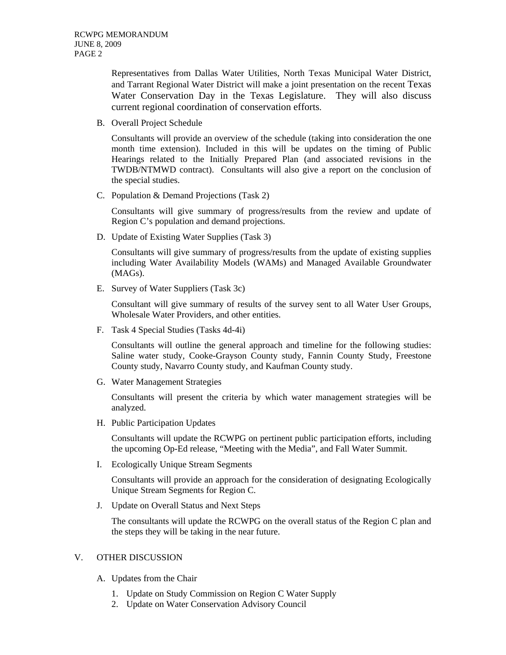Representatives from Dallas Water Utilities, North Texas Municipal Water District, and Tarrant Regional Water District will make a joint presentation on the recent Texas Water Conservation Day in the Texas Legislature. They will also discuss current regional coordination of conservation efforts.

B. Overall Project Schedule

Consultants will provide an overview of the schedule (taking into consideration the one month time extension). Included in this will be updates on the timing of Public Hearings related to the Initially Prepared Plan (and associated revisions in the TWDB/NTMWD contract). Consultants will also give a report on the conclusion of the special studies.

C. Population & Demand Projections (Task 2)

Consultants will give summary of progress/results from the review and update of Region C's population and demand projections.

D. Update of Existing Water Supplies (Task 3)

Consultants will give summary of progress/results from the update of existing supplies including Water Availability Models (WAMs) and Managed Available Groundwater (MAGs).

E. Survey of Water Suppliers (Task 3c)

Consultant will give summary of results of the survey sent to all Water User Groups, Wholesale Water Providers, and other entities.

F. Task 4 Special Studies (Tasks 4d-4i)

Consultants will outline the general approach and timeline for the following studies: Saline water study, Cooke-Grayson County study, Fannin County Study, Freestone County study, Navarro County study, and Kaufman County study.

G. Water Management Strategies

Consultants will present the criteria by which water management strategies will be analyzed.

H. Public Participation Updates

Consultants will update the RCWPG on pertinent public participation efforts, including the upcoming Op-Ed release, "Meeting with the Media", and Fall Water Summit.

I. Ecologically Unique Stream Segments

 Consultants will provide an approach for the consideration of designating Ecologically Unique Stream Segments for Region C.

J. Update on Overall Status and Next Steps

 The consultants will update the RCWPG on the overall status of the Region C plan and the steps they will be taking in the near future.

## V. OTHER DISCUSSION

- A. Updates from the Chair
	- 1. Update on Study Commission on Region C Water Supply
	- 2. Update on Water Conservation Advisory Council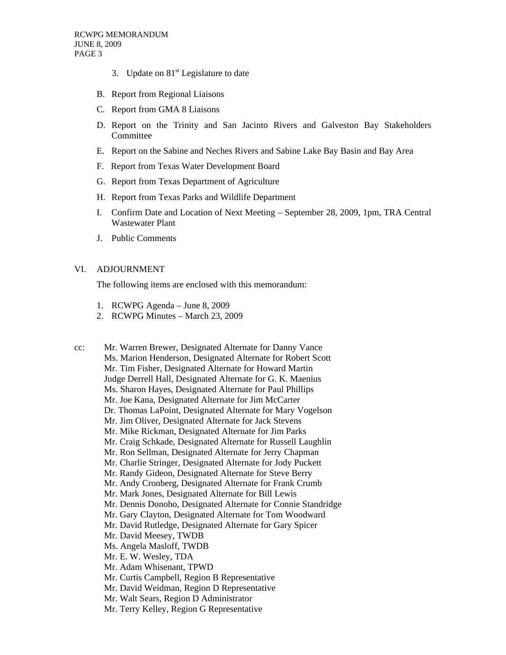- 3. Update on  $81<sup>st</sup>$  Legislature to date
- B. Report from Regional Liaisons
- C. Report from GMA 8 Liaisons
- D. Report on the Trinity and San Jacinto Rivers and Galveston Bay Stakeholders Committee
- E. Report on the Sabine and Neches Rivers and Sabine Lake Bay Basin and Bay Area
- F. Report from Texas Water Development Board
- G. Report from Texas Department of Agriculture
- H. Report from Texas Parks and Wildlife Department
- I. Confirm Date and Location of Next Meeting September 28, 2009, 1pm, TRA Central Wastewater Plant
- J. Public Comments

### VI. ADJOURNMENT

The following items are enclosed with this memorandum:

- 1. RCWPG Agenda June 8, 2009
- 2. RCWPG Minutes March 23, 2009

cc: Mr. Warren Brewer, Designated Alternate for Danny Vance Ms. Marion Henderson, Designated Alternate for Robert Scott Mr. Tim Fisher, Designated Alternate for Howard Martin Judge Derrell Hall, Designated Alternate for G. K. Maenius Ms. Sharon Hayes, Designated Alternate for Paul Phillips Mr. Joe Kana, Designated Alternate for Jim McCarter Dr. Thomas LaPoint, Designated Alternate for Mary Vogelson Mr. Jim Oliver, Designated Alternate for Jack Stevens Mr. Mike Rickman, Designated Alternate for Jim Parks Mr. Craig Schkade, Designated Alternate for Russell Laughlin Mr. Ron Sellman, Designated Alternate for Jerry Chapman Mr. Charlie Stringer, Designated Alternate for Jody Puckett Mr. Randy Gideon, Designated Alternate for Steve Berry Mr. Andy Cronberg, Designated Alternate for Frank Crumb Mr. Mark Jones, Designated Alternate for Bill Lewis Mr. Dennis Donoho, Designated Alternate for Connie Standridge Mr. Gary Clayton, Designated Alternate for Tom Woodward Mr. David Rutledge, Designated Alternate for Gary Spicer Mr. David Meesey, TWDB Ms. Angela Masloff, TWDB Mr. E. W. Wesley, TDA Mr. Adam Whisenant, TPWD Mr. Curtis Campbell, Region B Representative Mr. David Weidman, Region D Representative Mr. Walt Sears, Region D Administrator Mr. Terry Kelley, Region G Representative